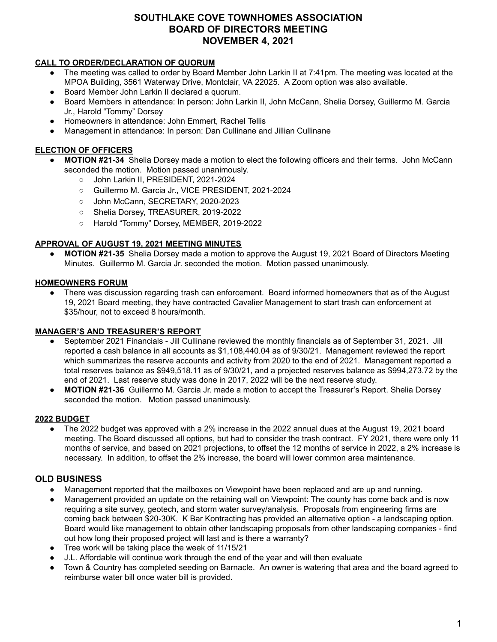# **SOUTHLAKE COVE TOWNHOMES ASSOCIATION BOARD OF DIRECTORS MEETING NOVEMBER 4, 2021**

## **CALL TO ORDER/DECLARATION OF QUORUM**

- The meeting was called to order by Board Member John Larkin II at 7:41pm. The meeting was located at the MPOA Building, 3561 Waterway Drive, Montclair, VA 22025. A Zoom option was also available.
- Board Member John Larkin II declared a quorum.
- Board Members in attendance: In person: John Larkin II, John McCann, Shelia Dorsey, Guillermo M. Garcia Jr., Harold "Tommy" Dorsey
- Homeowners in attendance: John Emmert, Rachel Tellis
- Management in attendance: In person: Dan Cullinane and Jillian Cullinane

## **ELECTION OF OFFICERS**

- **● MOTION #21-34** Shelia Dorsey made a motion to elect the following officers and their terms. John McCann seconded the motion. Motion passed unanimously.
	- John Larkin II, PRESIDENT, 2021-2024
	- Guillermo M. Garcia Jr., VICE PRESIDENT, 2021-2024
	- John McCann, SECRETARY, 2020-2023
	- Shelia Dorsey, TREASURER, 2019-2022
	- Harold "Tommy" Dorsey, MEMBER, 2019-2022

## **APPROVAL OF AUGUST 19, 2021 MEETING MINUTES**

**● MOTION #21-35** Shelia Dorsey made a motion to approve the August 19, 2021 Board of Directors Meeting Minutes. Guillermo M. Garcia Jr. seconded the motion. Motion passed unanimously.

## **HOMEOWNERS FORUM**

There was discussion regarding trash can enforcement. Board informed homeowners that as of the August 19, 2021 Board meeting, they have contracted Cavalier Management to start trash can enforcement at \$35/hour, not to exceed 8 hours/month.

#### **MANAGER'S AND TREASURER'S REPORT**

- September 2021 Financials Jill Cullinane reviewed the monthly financials as of September 31, 2021. Jill reported a cash balance in all accounts as \$1,108,440.04 as of 9/30/21. Management reviewed the report which summarizes the reserve accounts and activity from 2020 to the end of 2021. Management reported a total reserves balance as \$949,518.11 as of 9/30/21, and a projected reserves balance as \$994,273.72 by the end of 2021. Last reserve study was done in 2017, 2022 will be the next reserve study.
- **MOTION #21-36** Guillermo M. Garcia Jr. made a motion to accept the Treasurer's Report. Shelia Dorsey seconded the motion. Motion passed unanimously.

#### **2022 BUDGET**

The 2022 budget was approved with a 2% increase in the 2022 annual dues at the August 19, 2021 board meeting. The Board discussed all options, but had to consider the trash contract. FY 2021, there were only 11 months of service, and based on 2021 projections, to offset the 12 months of service in 2022, a 2% increase is necessary. In addition, to offset the 2% increase, the board will lower common area maintenance.

## **OLD BUSINESS**

- Management reported that the mailboxes on Viewpoint have been replaced and are up and running.
- Management provided an update on the retaining wall on Viewpoint: The county has come back and is now requiring a site survey, geotech, and storm water survey/analysis. Proposals from engineering firms are coming back between \$20-30K. K Bar Kontracting has provided an alternative option - a landscaping option. Board would like management to obtain other landscaping proposals from other landscaping companies - find out how long their proposed project will last and is there a warranty?
- Tree work will be taking place the week of 11/15/21
- J.L. Affordable will continue work through the end of the year and will then evaluate
- Town & Country has completed seeding on Barnacle. An owner is watering that area and the board agreed to reimburse water bill once water bill is provided.